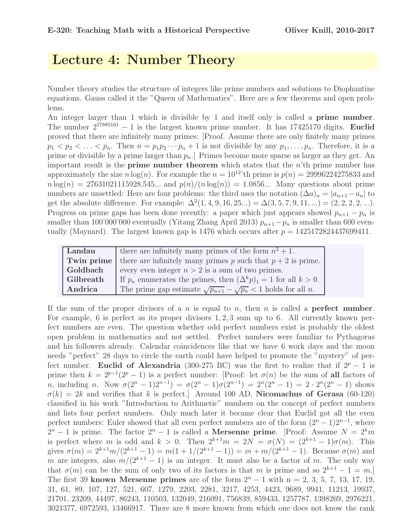# Lecture 4: Number Theory

Number theory studies the structure of integers like prime numbers and solutions to Diophantine equations. Gauss called it the "Queen of Mathematics". Here are a few theorems and open problems.

An integer larger than 1 which is divisible by 1 and itself only is called a prime number. The number  $2^{57885161} - 1$  is the largest known prime number. It has 17425170 digits. Euclid proved that there are infinitely many primes: [Proof. Assume there are only finitely many primes  $p_1 < p_2 < \ldots < p_n$ . Then  $n = p_1 p_2 \cdots p_n + 1$  is not divisible by any  $p_1, \ldots, p_n$ . Therefore, it is a prime or divisible by a prime larger than  $p_n$ . Primes become more sparse as larger as they get. An important result is the **prime number theorem** which states that the  $n<sup>i</sup>$ th prime number has approximately the size n  $log(n)$ . For example the  $n = 10^{12}$  th prime is  $p(n) = 29996224275833$  and  $n \log(n) = 27631021115928.545...$  and  $p(n)/(n \log(n)) = 1.0856...$  Many questions about prime numbers are unsettled: Here are four problems: the third uses the notation  $(\Delta a)_n = |a_{n+1} - a_n|$  to get the absolute difference. For example:  $\Delta^2(1, 4, 9, 16, 25...) = \Delta(3, 5, 7, 9, 11, ...) = (2, 2, 2, 2, ...)$ . Progress on prime gaps has been done recently: a paper which just appears showed  $p_{n+1} - p_n$  is smaller than 100'000'000 eventually (Yitang Zhang April 2013)  $p_{n+1}-p_n$  is smaller than 600 eventually (Maynard). The largest known gap is 1476 which occurs after  $p = 1425172824437699411$ .

| Landau    | there are infinitely many primes of the form $n^2 + 1$ .                          |
|-----------|-----------------------------------------------------------------------------------|
|           | <b>Twin prime</b> there are infinitely many primes p such that $p + 2$ is prime.  |
| Goldbach  | every even integer $n > 2$ is a sum of two primes.                                |
| Gilbreath | If $p_n$ enumerates the primes, then $(\Delta^k p)_1 = 1$ for all $k > 0$ .       |
| Andrica   | The prime gap estimate $\sqrt{p_{n+1}} - \sqrt{p_n} < 1$ holds for all <i>n</i> . |

If the sum of the proper divisors of a n is equal to n, then n is called a **perfect number**. For example, 6 is perfect as its proper divisors 1, 2, 3 sum up to 6. All currently known perfect numbers are even. The question whether odd perfect numbers exist is probably the oldest open problem in mathematics and not settled. Perfect numbers were familiar to Pythagoras and his followers already. Calendar coincidences like that we have 6 work days and the moon needs "perfect" 28 days to circle the earth could have helped to promote the "mystery" of perfect number. Euclid of Alexandria (300-275 BC) was the first to realize that if  $2^p - 1$  is prime then  $k = 2^{p-1}(2^p - 1)$  is a perfect number: [Proof: let  $\sigma(n)$  be the sum of all factors of *n*, including *n*. Now  $\sigma(2^n - 1)2^{n-1} = \sigma(2^n - 1)\sigma(2^{n-1}) = 2^n(2^n - 1) = 2 \cdot 2^n(2^n - 1)$  shows  $\sigma(k) = 2k$  and verifies that k is perfect. Around 100 AD, Nicomachus of Gerasa (60-120) classified in his work "Introduction to Arithmetic" numbers on the concept of perfect numbers and lists four perfect numbers. Only much later it became clear that Euclid got all the even perfect numbers: Euler showed that all even perfect numbers are of the form  $(2^{n} - 1)2^{n-1}$ , where  $2^n - 1$  is prime. The factor  $2^n - 1$  is called a **Mersenne prime**. [Proof: Assume  $N = 2^k m$ is perfect where m is odd and  $k > 0$ . Then  $2^{k+1}m = 2N = \sigma(N) = (2^{k+1} - 1)\sigma(m)$ . This gives  $\sigma(m) = 2^{k+1}m/(2^{k+1}-1) = m(1+1/(2^{k+1}-1)) = m+m/(2^{k+1}-1)$ . Because  $\sigma(m)$  and m are integers, also  $m/(2^{k+1}-1)$  is an integer. It must also be a factor of m. The only way that  $\sigma(m)$  can be the sum of only two of its factors is that m is prime and so  $2^{k+1} - 1 = m$ .] The first 39 known Mersenne primes are of the form  $2<sup>n</sup> - 1$  with n = 2, 3, 5, 7, 13, 17, 19, 31, 61, 89, 107, 127, 521, 607, 1279, 2203, 2281, 3217, 4253, 4423, 9689, 9941, 11213, 19937, 21701, 23209, 44497, 86243, 110503, 132049, 216091, 756839, 859433, 1257787, 1398269, 2976221, 3021377, 6972593, 13466917. There are 8 more known from which one does not know the rank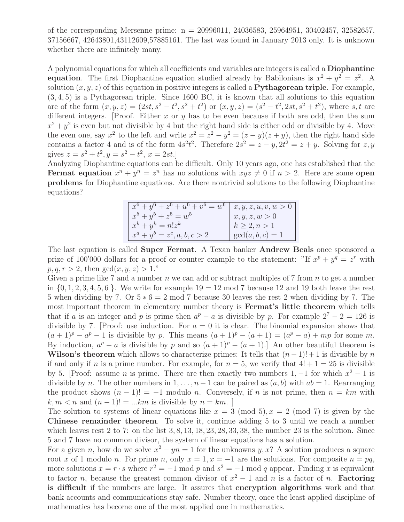of the corresponding Mersenne prime: n = 20996011, 24036583, 25964951, 30402457, 32582657, 37156667, 42643801,43112609,57885161. The last was found in January 2013 only. It is unknown whether there are infinitely many.

A polynomial equations for which all coefficients and variables are integers is called a Diophantine equation. The first Diophantine equation studied already by Babilonians is  $x^2 + y^2 = z^2$ . A solution  $(x, y, z)$  of this equation in positive integers is called a **Pythagorean triple**. For example, (3, 4, 5) is a Pythagorean triple. Since 1600 BC, it is known that all solutions to this equation are of the form  $(x, y, z) = (2st, s^2 - t^2, s^2 + t^2)$  or  $(x, y, z) = (s^2 - t^2, 2st, s^2 + t^2)$ , where s, t are different integers. [Proof. Either  $x$  or  $y$  has to be even because if both are odd, then the sum  $x^2 + y^2$  is even but not divisible by 4 but the right hand side is either odd or divisible by 4. Move the even one, say  $x^2$  to the left and write  $x^2 = z^2 - y^2 = (z - y)(z + y)$ , then the right hand side contains a factor 4 and is of the form  $4s^2t^2$ . Therefore  $2s^2 = z - y$ ,  $2t^2 = z + y$ . Solving for  $z, y$ gives  $z = s^2 + t^2$ ,  $y = s^2 - t^2$ ,  $x = 2st$ .]

Analyzing Diophantine equations can be difficult. Only 10 years ago, one has established that the Fermat equation  $x^n + y^n = z^n$  has no solutions with  $xyz \neq 0$  if  $n > 2$ . Here are some open problems for Diophantine equations. Are there nontrivial solutions to the following Diophantine equations?

| $x^6 + y^6 + z^6 + u^6 + v^6 = w^6$   x, y, z, u, v, w > 0 |                    |
|------------------------------------------------------------|--------------------|
| $x^5 + y^5 + z^5 = w^5$                                    | x, y, z, w > 0     |
| $x^k + y^k = n!z^k$                                        | $k \geq 2, n > 1$  |
| $x^a + y^b = z^c, a, b, c > 2$                             | $gcd(a, b, c) = 1$ |

The last equation is called Super Fermat. A Texan banker Andrew Beals once sponsored a prize of 100'000 dollars for a proof or counter example to the statement: "If  $x^p + y^q = z^r$  with  $p, q, r > 2$ , then  $gcd(x, y, z) > 1$ ."

Given a prime like 7 and a number n we can add or subtract multiples of 7 from  $n$  to get a number in  $\{0, 1, 2, 3, 4, 5, 6\}$ . We write for example  $19 = 12 \text{ mod } 7$  because 12 and 19 both leave the rest 5 when dividing by 7. Or  $5 * 6 = 2 \text{ mod } 7$  because 30 leaves the rest 2 when dividing by 7. The most important theorem in elementary number theory is Fermat's little theorem which tells that if a is an integer and p is prime then  $a^p - a$  is divisible by p. For example  $2^7 - 2 = 126$  is divisible by 7. [Proof: use induction. For  $a = 0$  it is clear. The binomial expansion shows that  $(a + 1)^p - a^p - 1$  is divisible by p. This means  $(a + 1)^p - (a + 1) = (a^p - a) + mp$  for some m. By induction,  $a^p - a$  is divisible by p and so  $(a + 1)^p - (a + 1)$ . An other beautiful theorem is Wilson's theorem which allows to characterize primes: It tells that  $(n-1)!+1$  is divisible by n if and only if n is a prime number. For example, for  $n = 5$ , we verify that  $4! + 1 = 25$  is divisible by 5. [Proof: assume *n* is prime. There are then exactly two numbers 1, -1 for which  $x^2 - 1$  is divisible by n. The other numbers in  $1, \ldots, n-1$  can be paired as  $(a, b)$  with  $ab = 1$ . Rearranging the product shows  $(n-1)! = -1$  modulo n. Conversely, if n is not prime, then  $n = km$  with  $k, m < n$  and  $(n-1)! = ...km$  is divisible by  $n = km$ .

The solution to systems of linear equations like  $x = 3 \pmod{5}$ ,  $x = 2 \pmod{7}$  is given by the Chinese remainder theorem. To solve it, continue adding 5 to 3 until we reach a number which leaves rest 2 to 7: on the list  $3, 8, 13, 18, 23, 28, 33, 38$ , the number 23 is the solution. Since 5 and 7 have no common divisor, the system of linear equations has a solution.

For a given n, how do we solve  $x^2 - yn = 1$  for the unknowns y, x? A solution produces a square root x of 1 modulo n. For prime n, only  $x = 1, x = -1$  are the solutions. For composite  $n = pq$ , more solutions  $x = r \cdot s$  where  $r^2 = -1$  mod p and  $s^2 = -1$  mod q appear. Finding x is equivalent to factor *n*, because the greatest common divisor of  $x^2 - 1$  and *n* is a factor of *n*. **Factoring** is difficult if the numbers are large. It assures that encryption algorithms work and that bank accounts and communications stay safe. Number theory, once the least applied discipline of mathematics has become one of the most applied one in mathematics.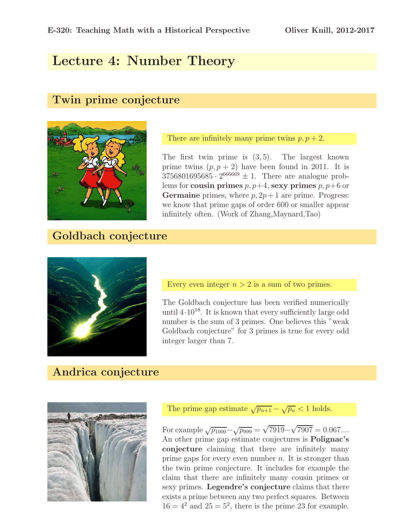# Lecture 4: Number Theory

#### Twin prime conjecture



There are infinitely many prime twins  $p, p + 2$ .

The first twin prime is  $(3, 5)$ . The largest known prime twins  $(p, p + 2)$  have been found in 2011. It is  $3756801695685 \cdot 2^{666669} \pm 1$ . There are analogue problems for cousin primes  $p, p+4$ , sexy primes  $p, p+6$  or **Germaine** primes, where  $p$ ,  $2p + 1$  are prime. Progress: we know that prime gaps of order 600 or smaller appear infinitely often. (Work of Zhang,Maynard,Tao)

#### Goldbach conjecture



Every even integer  $n > 2$  is a sum of two primes.

The Goldbach conjecture has been verified numerically until  $4.10^{18}$ . It is known that every sufficiently large odd number is the sum of 3 primes. One believes this "weak Goldbach conjecture" for 3 primes is true for every odd integer larger than 7.

# Andrica conjecture



The prime gap estimate  $\sqrt{p_{n+1}} - \sqrt{p_n} < 1$  holds.

For example  $\sqrt{p_{1000}} - \sqrt{p_{999}} = \sqrt{7919} - \sqrt{7907} = 0.067...$ An other prime gap estimate conjectures is Polignac's conjecture claiming that there are infinitely many prime gaps for every even number  $n$ . It is stronger than the twin prime conjecture. It includes for example the claim that there are infinitely many cousin primes or sexy primes. Legendre's conjecture claims that there exists a prime between any two perfect squares. Between  $16 = 4^2$  and  $25 = 5^2$ , there is the prime 23 for example.